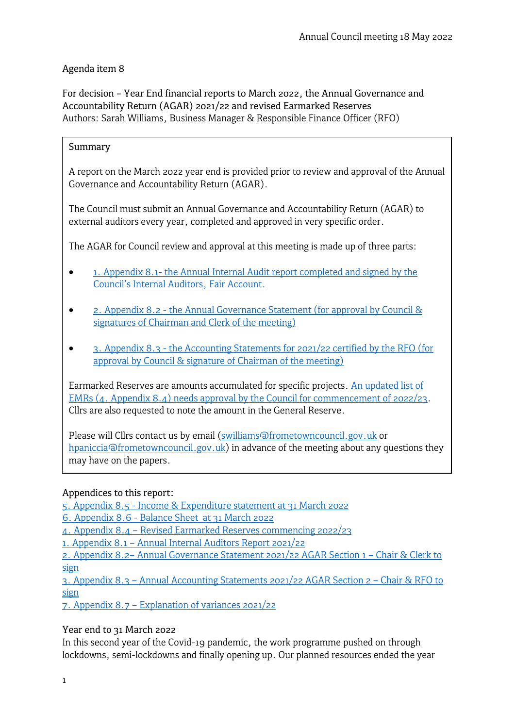## Agenda item 8

For decision – Year End financial reports to March 2022, the Annual Governance and Accountability Return (AGAR) 2021/22 and revised Earmarked Reserves Authors: Sarah Williams, Business Manager & Responsible Finance Officer (RFO)

### Summary

A report on the March 2022 year end is provided prior to review and approval of the Annual Governance and Accountability Return (AGAR).

The Council must submit an Annual Governance and Accountability Return (AGAR) to external auditors every year, completed and approved in very specific order.

The AGAR for Council review and approval at this meeting is made up of three parts:

- 1. Appendix 8.1- the Annual Internal Audit report completed and signed by the [Council's Internal Auditors, Fair Account.](https://www.frometowncouncil.gov.uk/wp-content/uploads/2022/05/Appendix-8.1-Internal-Audit-report.pdf)
- [2. Appendix 8.2 the Annual Governance Statement \(for approval by Council &](https://www.frometowncouncil.gov.uk/wp-content/uploads/2022/05/Appendix-8.2-The-Annual-Governance-Statement-section-1.pdf)  [signatures of Chairman and Clerk of the meeting\)](https://www.frometowncouncil.gov.uk/wp-content/uploads/2022/05/Appendix-8.2-The-Annual-Governance-Statement-section-1.pdf)
- [3. Appendix 8.3 the Accounting](https://www.frometowncouncil.gov.uk/wp-content/uploads/2022/05/Appendix-8.3-The-Accounting-Statements-section-2.pdf) Statements for 2021/22 certified by the RFO (for [approval by Council & signature of Chairman of the meeting\)](https://www.frometowncouncil.gov.uk/wp-content/uploads/2022/05/Appendix-8.3-The-Accounting-Statements-section-2.pdf)

Earmarked Reserves are amounts accumulated for specific projects. [An updated list of](https://www.frometowncouncil.gov.uk/wp-content/uploads/2022/05/Appendix-8.4-Earmarked-Reserves-proposed-1Apr22.pdf)  [EMRs \(4. Appendix 8.4\) needs approval by the Council for commencement of 2022/23.](https://www.frometowncouncil.gov.uk/wp-content/uploads/2022/05/Appendix-8.4-Earmarked-Reserves-proposed-1Apr22.pdf) Cllrs are also requested to note the amount in the General Reserve.

Please will Cllrs contact us by email [\(swilliams@frometowncouncil.gov.uk](mailto:swilliams@frometowncouncil.gov.uk) or [hpaniccia@frometowncouncil.gov.uk\)](mailto:hpaniccia@frometowncouncil.gov.uk) in advance of the meeting about any questions they may have on the papers.

### Appendices to this report:

[5. Appendix 8.5 - Income & Expenditure](https://www.frometowncouncil.gov.uk/wp-content/uploads/2022/05/Appendix-8.5-Detailed-Income-Expenditure-by-Budget-Heading-31-03-2022.pdf) statement at 31 March 2022

[6. Appendix 8.6 - Balance Sheet at 31 March 2022](https://www.frometowncouncil.gov.uk/wp-content/uploads/2022/05/Appendix-8.6-Balance-Sheet-as-at-31-03-2022.pdf)

4. [Appendix 8.4 – Revised Earmarked Reserves commencing](https://www.frometowncouncil.gov.uk/wp-content/uploads/2022/05/Appendix-8.4-Earmarked-Reserves-proposed-1Apr22.pdf) 2022/23

[1. Appendix 8.1 – Annual Internal Auditors](https://www.frometowncouncil.gov.uk/wp-content/uploads/2022/05/Appendix-8.1-Internal-Audit-report.pdf) Report 2021/22

2. [Appendix 8.2– Annual Governance Statement 2021/22](https://www.frometowncouncil.gov.uk/wp-content/uploads/2022/05/Appendix-8.2-The-Annual-Governance-Statement-section-1.pdf) AGAR Section 1 – Chair & Clerk to [sign](https://www.frometowncouncil.gov.uk/wp-content/uploads/2022/05/Appendix-8.2-The-Annual-Governance-Statement-section-1.pdf)

3. [Appendix 8.3 – Annual Accounting Statements 2021/22](https://www.frometowncouncil.gov.uk/wp-content/uploads/2022/05/Appendix-8.3-The-Accounting-Statements-section-2.pdf) AGAR Section 2 – Chair & RFO to [sign](https://www.frometowncouncil.gov.uk/wp-content/uploads/2022/05/Appendix-8.3-The-Accounting-Statements-section-2.pdf)

7. [Appendix 8.7 – Explanation of variances](https://www.frometowncouncil.gov.uk/wp-content/uploads/2022/05/Appendix-8.7-Explanation-of-Variances-2021-22.pdf) 2021/22

### Year end to 31 March 2022

In this second year of the Covid-19 pandemic, the work programme pushed on through lockdowns, semi-lockdowns and finally opening up. Our planned resources ended the year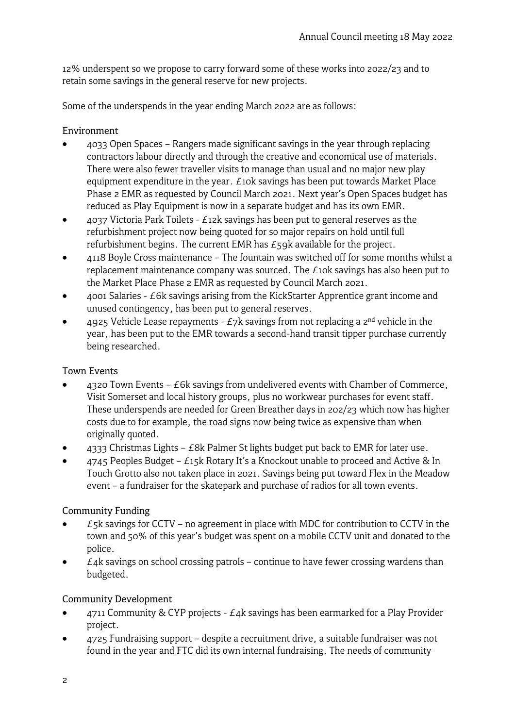12% underspent so we propose to carry forward some of these works into 2022/23 and to retain some savings in the general reserve for new projects.

Some of the underspends in the year ending March 2022 are as follows:

### Environment

- 4033 Open Spaces Rangers made significant savings in the year through replacing contractors labour directly and through the creative and economical use of materials. There were also fewer traveller visits to manage than usual and no major new play equipment expenditure in the year.  $E$ 10k savings has been put towards Market Place Phase 2 EMR as requested by Council March 2021. Next year's Open Spaces budget has reduced as Play Equipment is now in a separate budget and has its own EMR.
- 4037 Victoria Park Toilets £12k savings has been put to general reserves as the refurbishment project now being quoted for so major repairs on hold until full refurbishment begins. The current EMR has  $E_5$ 9k available for the project.
- 4118 Boyle Cross maintenance The fountain was switched off for some months whilst a replacement maintenance company was sourced. The £10k savings has also been put to the Market Place Phase 2 EMR as requested by Council March 2021.
- 4001 Salaries £6k savings arising from the KickStarter Apprentice grant income and unused contingency, has been put to general reserves.
- 4925 Vehicle Lease repayments  $E$ 7k savings from not replacing a  $2<sup>nd</sup>$  vehicle in the year, has been put to the EMR towards a second-hand transit tipper purchase currently being researched.

### Town Events

- 4320 Town Events  $E6k$  savings from undelivered events with Chamber of Commerce, Visit Somerset and local history groups, plus no workwear purchases for event staff. These underspends are needed for Green Breather days in 202/23 which now has higher costs due to for example, the road signs now being twice as expensive than when originally quoted.
- 4333 Christmas Lights  $E$ 8k Palmer St lights budget put back to EMR for later use.
- $4745$  Peoples Budget  $E$ 15k Rotary It's a Knockout unable to proceed and Active & In Touch Grotto also not taken place in 2021. Savings being put toward Flex in the Meadow event – a fundraiser for the skatepark and purchase of radios for all town events.

### Community Funding

- $E$ <sub>5</sub>k savings for CCTV no agreement in place with MDC for contribution to CCTV in the town and 50% of this year's budget was spent on a mobile CCTV unit and donated to the police.
- $\bullet$   $\epsilon$ 4k savings on school crossing patrols continue to have fewer crossing wardens than budgeted.

### Community Development

- $4711$  Community & CYP projects  $E_4$ k savings has been earmarked for a Play Provider project.
- 4725 Fundraising support despite a recruitment drive, a suitable fundraiser was not found in the year and FTC did its own internal fundraising. The needs of community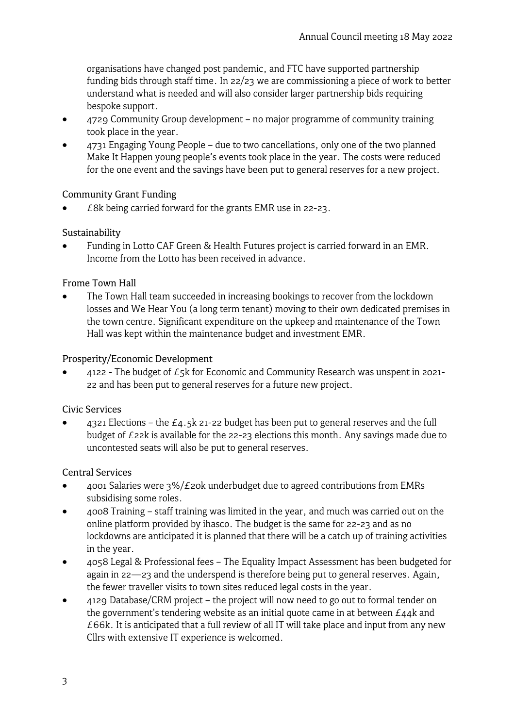organisations have changed post pandemic, and FTC have supported partnership funding bids through staff time. In 22/23 we are commissioning a piece of work to better understand what is needed and will also consider larger partnership bids requiring bespoke support.

- 4729 Community Group development no major programme of community training took place in the year.
- 4731 Engaging Young People due to two cancellations, only one of the two planned Make It Happen young people's events took place in the year. The costs were reduced for the one event and the savings have been put to general reserves for a new project.

## Community Grant Funding

 $E8k$  being carried forward for the grants EMR use in 22-23.

## Sustainability

• Funding in Lotto CAF Green & Health Futures project is carried forward in an EMR. Income from the Lotto has been received in advance.

## Frome Town Hall

The Town Hall team succeeded in increasing bookings to recover from the lockdown losses and We Hear You (a long term tenant) moving to their own dedicated premises in the town centre. Significant expenditure on the upkeep and maintenance of the Town Hall was kept within the maintenance budget and investment EMR.

## Prosperity/Economic Development

4122 - The budget of  $E_5$ k for Economic and Community Research was unspent in 2021-22 and has been put to general reserves for a future new project.

### Civic Services

4321 Elections – the  $E_4.5k$  21-22 budget has been put to general reserves and the full budget of £22k is available for the 22-23 elections this month. Any savings made due to uncontested seats will also be put to general reserves.

# Central Services

- 4001 Salaries were 3%/*£* 20k underbudget due to agreed contributions from EMRs subsidising some roles.
- 4008 Training staff training was limited in the year, and much was carried out on the online platform provided by ihasco. The budget is the same for 22-23 and as no lockdowns are anticipated it is planned that there will be a catch up of training activities in the year.
- 4058 Legal & Professional fees The Equality Impact Assessment has been budgeted for again in 22—23 and the underspend is therefore being put to general reserves. Again, the fewer traveller visits to town sites reduced legal costs in the year.
- 4129 Database/CRM project the project will now need to go out to formal tender on the government's tendering website as an initial quote came in at between  $E_{44}$ k and  $£66k.$  It is anticipated that a full review of all IT will take place and input from any new Cllrs with extensive IT experience is welcomed.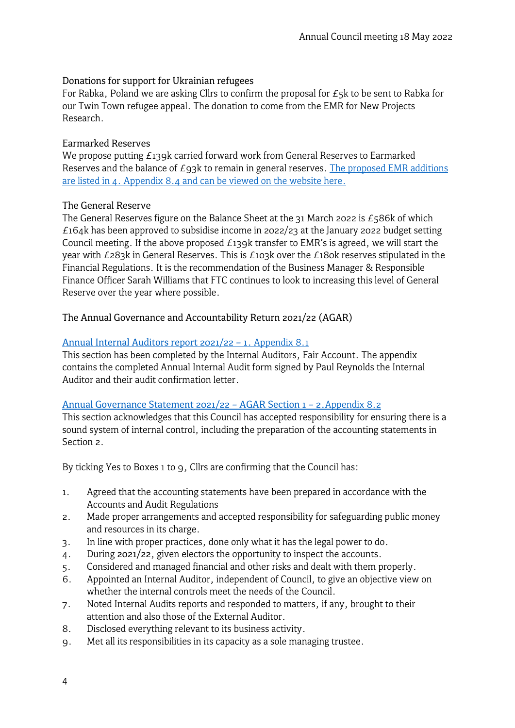#### Donations for support for Ukrainian refugees

For Rabka, Poland we are asking Cllrs to confirm the proposal for  $E_5$ k to be sent to Rabka for our Twin Town refugee appeal. The donation to come from the EMR for New Projects Research.

### Earmarked Reserves

We propose putting  $E139k$  carried forward work from General Reserves to Earmarked Reserves and the balance of £93k to remain in general reserves. The proposed EMR additions are listed in 4. [Appendix 8.4 and can be viewed on the website here.](https://www.frometowncouncil.gov.uk/wp-content/uploads/2022/05/Appendix-8.4-Earmarked-Reserves-proposed-1Apr22.pdf)

### The General Reserve

The General Reserves figure on the Balance Sheet at the 31 March 2022 is  $£586k$  of which £164k has been approved to subsidise income in 2022/23 at the January 2022 budget setting Council meeting. If the above proposed  $E$ 139k transfer to EMR's is agreed, we will start the year with £283k in General Reserves. This is £103k over the £180k reserves stipulated in the Financial Regulations. It is the recommendation of the Business Manager & Responsible Finance Officer Sarah Williams that FTC continues to look to increasing this level of General Reserve over the year where possible.

The Annual Governance and Accountability Return 2021/22 (AGAR)

### [Annual Internal Auditors](https://www.frometowncouncil.gov.uk/wp-content/uploads/2022/05/Appendix-8.1-Internal-Audit-report.pdf) report 2021/22 – 1. Appendix 8.1

This section has been completed by the Internal Auditors, Fair Account. The appendix contains the completed Annual Internal Audit form signed by Paul Reynolds the Internal Auditor and their audit confirmation letter.

#### [Annual Governance Statement 2021/22 – AGAR Section 1 – 2.](https://www.frometowncouncil.gov.uk/wp-content/uploads/2022/05/Appendix-8.2-The-Annual-Governance-Statement-section-1.pdf)Appendix 8.2

This section acknowledges that this Council has accepted responsibility for ensuring there is a sound system of internal control, including the preparation of the accounting statements in Section 2.

By ticking Yes to Boxes 1 to 9, Cllrs are confirming that the Council has:

- 1. Agreed that the accounting statements have been prepared in accordance with the Accounts and Audit Regulations
- 2. Made proper arrangements and accepted responsibility for safeguarding public money and resources in its charge.
- 3. In line with proper practices, done only what it has the legal power to do.
- 4. During 2021/22, given electors the opportunity to inspect the accounts.
- 5. Considered and managed financial and other risks and dealt with them properly.
- 6. Appointed an Internal Auditor, independent of Council, to give an objective view on whether the internal controls meet the needs of the Council.
- 7. Noted Internal Audits reports and responded to matters, if any, brought to their attention and also those of the External Auditor.
- 8. Disclosed everything relevant to its business activity.
- 9. Met all its responsibilities in its capacity as a sole managing trustee.